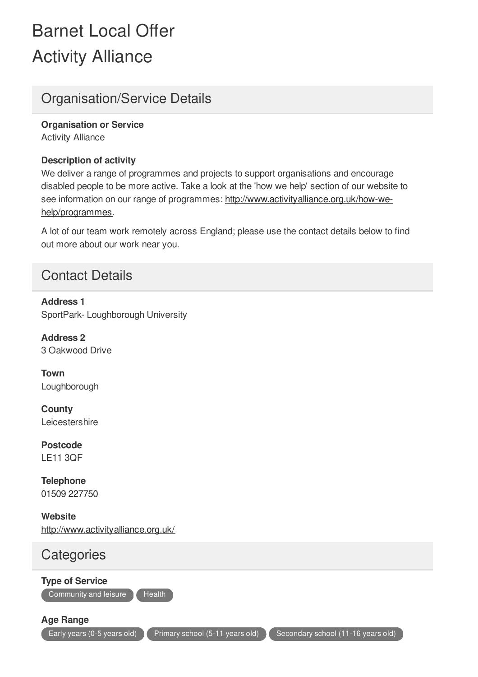## Barnet Local Offer Activity Alliance

## Organisation/Service Details

Activity Alliance **Organisation or Service**

## **Description of activity**

We deliver a range of programmes and projects to support organisations and encourage disabled people to be more active. Take a look at the 'how we help' section of our website to see information on our range of programmes: http://www.activityalliance.org.uk/how-wehelp/programmes.

A lot of our team work remotely across England; please use the contact details below to find out more about our work near you.

## Contact Details

SportPark- Loughborough University **Address 1**

3 Oakwood Drive **Address 2**

Loughborough **Town**

**Leicestershire County**

LE11 3QF **Postcode**

01509 227750 **Telephone**

http://www.activityalliance.org.uk/ **Website**